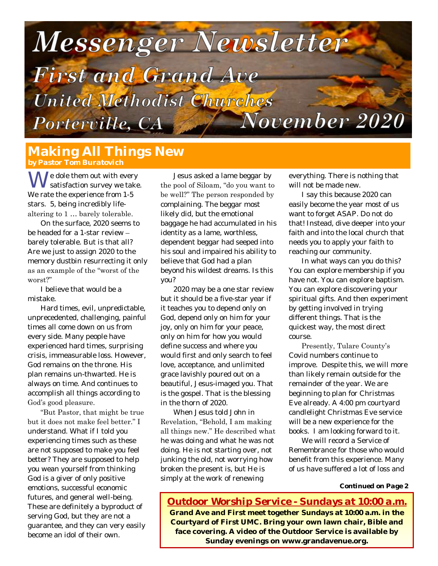

# **Making All Things New**

We dole them out with every<br>Satisfaction survey we take. We rate the experience from 1-5 stars. 5, being incredibly lifealtering to 1 … barely tolerable.

On the surface, 2020 seems to be headed for a 1-star review – barely tolerable. But is that all? Are we just to assign 2020 to the memory dustbin resurrecting it only as an example of the "worst of the worst?"

I believe that would be a mistake.

Hard times, evil, unpredictable, unprecedented, challenging, painful times all come down on us from every side. Many people have experienced hard times, surprising crisis, immeasurable loss. However, God remains on the throne. His plan remains un-thwarted. He is always on time. And continues to accomplish all things according to God's good pleasure.

"But Pastor, that might be true but it does not make feel better." I understand. What if I told you experiencing times such as these are not supposed to make you feel better? They are supposed to help you wean yourself from thinking God is a giver of only positive emotions, successful economic futures, and general well-being. These are definitely a byproduct of serving God, but they are not a guarantee, and they can very easily become an idol of their own.

Jesus asked a lame beggar by the pool of Siloam, "do you want to be well?" The person responded by complaining. The beggar most likely did, but the emotional baggage he had accumulated in his identity as a lame, worthless, dependent beggar had seeped into his soul and impaired his ability to believe that God had a plan beyond his wildest dreams. Is this you?

2020 may be a one star review but it should be a five-star year if it teaches you to depend only on God, depend only on him for your joy, only on him for your peace, only on him for how you would define success and where you would first and only search to feel love, acceptance, and unlimited grace lavishly poured out on a beautiful, Jesus-imaged you. That is the gospel. That is the blessing in the thorn of 2020.

When Jesus told John in Revelation, "Behold, I am making all things new." He described what he was doing and what he was not doing. He is not starting over, not junking the old, not worrying how broken the present is, but He is simply at the work of renewing

everything. There is *nothing* that will not be made new.

I say this because 2020 can easily become the year most of us want to forget ASAP. Do not do that! Instead, dive deeper into your faith and into the local church that needs you to apply your faith to reaching our community.

In what ways can you do this? You can explore membership if you have not. You can explore baptism. You can explore discovering your spiritual gifts. And then experiment by getting involved in trying different things. That is the quickest way, the most direct course.

Presently, Tulare County's Covid numbers continue to improve. Despite this, we will more than likely remain outside for the remainder of the year. We are beginning to plan for Christmas Eve already. A 4:00 pm courtyard candlelight Christmas Eve service will be a new experience for the books. I am looking forward to it.

We will record a Service of Remembrance for those who would benefit from this experience. Many of us have suffered a lot of loss and

*Continued on Page 2*

*Outdoor Worship Service - Sundays at 10:00 a.m.* **Grand Ave and First meet together Sundays at 10:00 a.m. in the Courtyard of First UMC. Bring your own lawn chair, Bible and face covering. A video of the Outdoor Service is available by Sunday evenings on www.grandavenue.org.**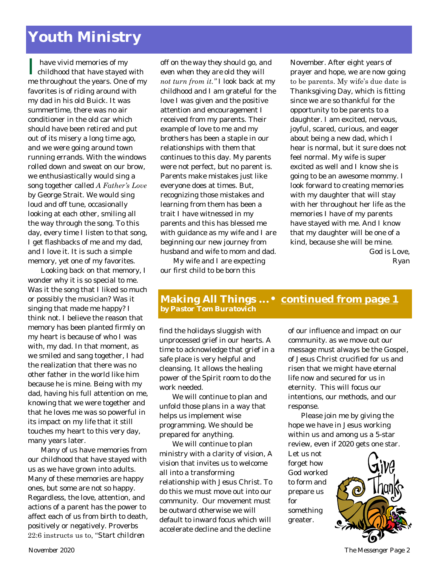# **Youth Ministry**

| have vivid memories of my<br>| childhood that have stayed with have vivid memories of my me throughout the years. One of my favorites is of riding around with my dad in his old Buick. It was summertime, there was no air conditioner in the old car which should have been retired and put out of its misery a long time ago, and we were going around town running errands. With the windows rolled down and sweat on our brow, we enthusiastically would sing a song together called *A Father's Love* by George Strait. We would sing loud and off tune, occasionally looking at each other, smiling all the way through the song. To this day, every time I listen to that song, I get flashbacks of me and my dad, and I love it. It is such a simple memory, yet one of my favorites.

Looking back on that memory, I wonder why it is so special to me. Was it the song that I liked so much or possibly the musician? Was it singing that made me happy? I think not. I believe the reason that memory has been planted firmly on my heart is because of who I was with, my dad. In that moment, as we smiled and sang together, I had the realization that there was no other father in the world like him because he is mine. Being with my dad, having his full attention on me, knowing that we were together and that he loves me was so powerful in its impact on my life that it still touches my heart to this very day, many years later.

Many of us have memories from our childhood that have stayed with us as we have grown into adults. Many of these memories are happy ones, but some are not so happy. Regardless, the love, attention, and actions of a parent has the power to affect each of us from birth to death, positively or negatively. Proverbs 22:6 instructs us to, "*Start children* 

*off on the way they should go, and even when they are old they will not turn from it."* I look back at my childhood and I am grateful for the love I was given and the positive attention and encouragement I received from my parents. Their example of love to me and my brothers has been a staple in our relationships with them that continues to this day. My parents were not perfect, but no parent is. Parents make mistakes just like everyone does at times. But, recognizing those mistakes and learning from them has been a trait I have witnessed in my parents and this has blessed me with guidance as my wife and I are beginning our new journey from husband and wife to mom and dad.

My wife and I are expecting our first child to be born this

November. After eight years of prayer and hope, we are now going to be parents. My wife's due date is Thanksgiving Day, which is fitting since we are so thankful for the opportunity to be parents to a daughter. I am excited, nervous, joyful, scared, curious, and eager about being a new dad, which I hear is normal, but it sure does not feel normal. My wife is super excited as well and I know she is going to be an awesome mommy. I look forward to creating memories with my daughter that will stay with her throughout her life as the memories I have of my parents have stayed with me. And I know that my daughter will be one of a kind, because she will be mine.

God is Love, *Ryan*

#### **Making All Things ...• continued from page 1** *by Pastor Tom Buratovich*

find the holidays sluggish with unprocessed grief in our hearts. A time to acknowledge that grief in a safe place is very helpful and cleansing. It allows the healing power of the Spirit room to do the work needed.

We will continue to plan and unfold those plans in a way that helps us implement wise programming. We should be prepared for anything.

We will continue to plan ministry with a clarity of vision, A vision that invites us to welcome all into a transforming relationship with Jesus Christ. To do this we must move out into our community. Our movement must be outward otherwise we will default to inward focus which will accelerate decline and the decline

of our influence and impact on our community. as we move out our message must always be the Gospel, of Jesus Christ crucified for us and risen that we might have eternal life now and secured for us in eternity. This will focus our intentions, our methods, and our response.

Please join me by giving the hope we have in Jesus working within us and among us a 5-star review, even if 2020 gets one star.

Let us not forget how God worked to form and prepare us for something greater.



*November 2020 The Messenger* Page 2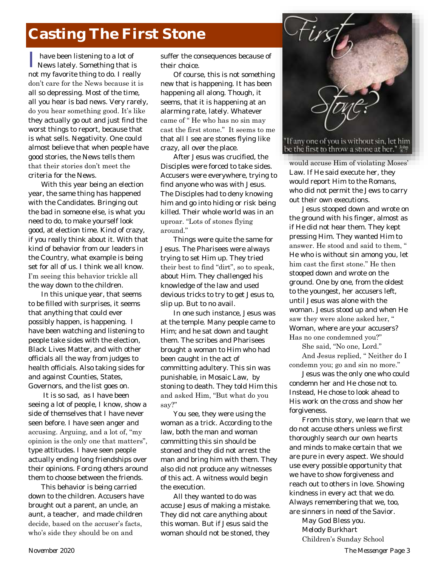# **Casting The First Stone**

I have been listening to a lot of News lately. Something that is not my favorite thing to do. I really don't care for the News because it is all so depressing. Most of the time, all you hear is bad news. Very rarely, do you hear something good. It's like they actually go out and just find the worst things to report, because that is what sells. Negativity. One could almost believe that when people have good stories, the News tells them that their stories don't meet the criteria for the News.

With this year being an election year, the same thing has happened with the Candidates. Bringing out the bad in someone else, is what you need to do, to make yourself look good, at election time. Kind of crazy, if you really think about it. With that kind of behavior from our leaders in the Country, what example is being set for all of us. I think we all know. I'm seeing this behavior trickle all

the way down to the children.

In this unique year, that seems to be filled with surprises, it seems that anything that could ever possibly happen, is happening. I have been watching and listening to people take sides with the election, Black Lives Matter, and with other officials all the way from judges to health officials. Also taking sides for and against Counties, States, Governors, and the list goes on.

It is so sad, as I have been seeing a lot of people, I know, show a side of themselves that I have never seen before. I have seen anger and accusing. Arguing, and a lot of, "my opinion is the only one that matters", type attitudes. I have seen people actually ending long friendships over their opinions. Forcing others around them to choose between the friends.

This behavior is being carried down to the children. Accusers have brought out a parent, an uncle, an aunt, a teacher, and made children decide, based on the accuser's facts, who's side they should be on and

suffer the consequences because of their choice.

Of course, this is not something new that is happening. It has been happening all along. Though, it seems, that it is happening at an alarming rate, lately. Whatever came of " He who has no sin may cast the first stone." It seems to me that all I see are stones flying like crazy, all over the place.

After Jesus was crucified, the Disciples were forced to take sides. Accusers were everywhere, trying to find anyone who was with Jesus. The Disciples had to deny knowing him and go into hiding or risk being killed. Their whole world was in an uproar. "Lots of stones flying around."

Things were quite the same for Jesus. The Pharisees were always trying to set Him up. They tried their best to find "dirt", so to speak, about Him. They challenged his knowledge of the law and used devious tricks to try to get Jesus to, slip up. But to no avail.

In one such instance, Jesus was at the temple. Many people came to Him; and he sat down and taught them. The scribes and Pharisees brought a woman to Him who had been caught in the act of committing adultery. This sin was punishable, in Mosaic Law, by stoning to death. They told Him this and asked Him, "But what do you say?"

You see, they were using the woman as a trick. According to the law, both the man and woman committing this sin should be stoned and they did not arrest the man and bring him with them. They also did not produce any witnesses of this act. A witness would begin the execution.

All they wanted to do was accuse Jesus of making a mistake. They did not care anything about this woman. But if Jesus said the woman should not be stoned, they



be the first to throw a stone at her."  $\frac{1}{2}$ 

would accuse Him of violating Moses' Law. If He said execute her, they would report Him to the Romans, who did not permit the Jews to carry out their own executions.

Jesus stooped down and wrote on the ground with his finger, almost as if He did not hear them. They kept pressing Him. They wanted Him to answer. He stood and said to them, " He who is without sin among you, let him cast the first stone." He then stooped down and wrote on the ground. One by one, from the oldest to the youngest, her accusers left, until Jesus was alone with the woman. Jesus stood up and when He saw they were alone asked her, " Woman, where are your accusers? Has no one condemned you?"

She said, "No one, Lord."

And Jesus replied, " Neither do I condemn you; go and sin no more."

Jesus was the only one who could condemn her and He chose not to. Instead, He chose to look ahead to His work on the cross and show her forgiveness.

From this story, we learn that we do not accuse others unless we first thoroughly search our own hearts and minds to make certain that we are pure in every aspect. We should use every possible opportunity that we have to show forgiveness and reach out to others in love. Showing kindness in every act that we do. Always remembering that we, too, are sinners in need of the Savior.

> May God Bless you. *Melody Burkhart* Children's Sunday School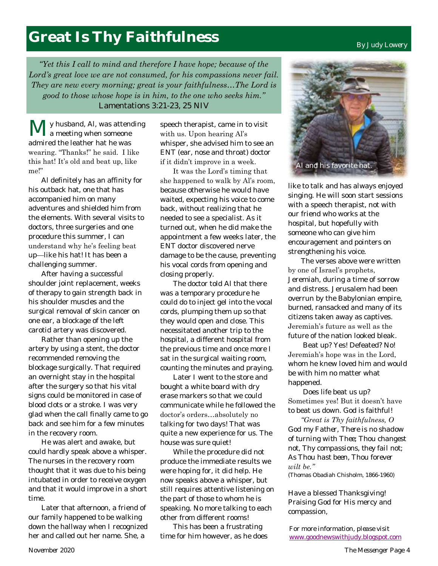# **Great Is Thy Faithfulness**

*"Yet this I call to mind and therefore I have hope; because of the Lord's great love we are not consumed, for his compassions never fail. They are new every morning; great is your faithfulness…The Lord is good to those whose hope is in him, to the one who seeks him."*  Lamentations 3:21-23, 25 NIV

y husband, Al, was attending **l** a meeting when someone admired the leather hat he was wearing. "Thanks!" he said. I like this hat! It's old and beat up, like me!"

Al definitely has an affinity for his outback hat, one that has accompanied him on many adventures and shielded him from the elements. With several visits to doctors, three surgeries and one procedure this summer, I can understand why he's feeling beat up—like his hat! It has been a challenging summer.

After having a successful shoulder joint replacement, weeks of therapy to gain strength back in his shoulder muscles and the surgical removal of skin cancer on one ear, a blockage of the left carotid artery was discovered.

Rather than opening up the artery by using a stent, the doctor recommended removing the blockage surgically. That required an overnight stay in the hospital after the surgery so that his vital signs could be monitored in case of blood clots or a stroke. I was very glad when the call finally came to go back and see him for a few minutes in the recovery room.

He was alert and awake, but could hardly speak above a whisper. The nurses in the recovery room thought that it was due to his being intubated in order to receive oxygen and that it would improve in a short time.

Later that afternoon, a friend of our family happened to be walking down the hallway when I recognized her and called out her name. She, a

speech therapist, came in to visit with us. Upon hearing Al's whisper, she advised him to see an ENT (ear, nose and throat) doctor if it didn't improve in a week.

It was the Lord's timing that she happened to walk by Al's room, because otherwise he would have waited, expecting his voice to come back, without realizing that he needed to see a specialist. As it turned out, when he did make the appointment a few weeks later, the ENT doctor discovered nerve damage to be the cause, preventing his vocal cords from opening and closing properly.

The doctor told Al that there was a temporary procedure he could do to inject gel into the vocal cords, plumping them up so that they would open and close. This necessitated another trip to the hospital, a different hospital from the previous time and once more I sat in the surgical waiting room, counting the minutes and praying.

Later I went to the store and bought a white board with dry erase markers so that we could communicate while he followed the doctor's orders…absolutely no talking for two days! That was quite a new experience for us. The house was sure quiet!

While the procedure did not produce the immediate results we were hoping for, it did help. He now speaks above a whisper, but still requires attentive listening on the part of those to whom he is speaking. No more talking to each other from different rooms!

This has been a frustrating time for him however, as he does



like to talk and has always enjoyed singing. He will soon start sessions with a speech therapist, not with our friend who works at the hospital, but hopefully with someone who can give him encouragement and pointers on strengthening his voice.

The verses above were written by one of Israel's prophets, Jeremiah, during a time of sorrow and distress. Jerusalem had been overrun by the Babylonian empire, burned, ransacked and many of its citizens taken away as captives. Jeremiah's future as well as the future of the nation looked bleak.

Beat up? Yes! Defeated? No! Jeremiah's hope was in the Lord, whom he knew loved him and would be with him no matter what happened.

Does life beat us up? Sometimes yes! But it doesn't have to beat us down. God is faithful!

*"Great is Thy faithfulness, O God my Father, There is no shadow of turning with Thee; Thou changest not, Thy compassions, they fail not; As Thou hast been, Thou forever*  wilt be."

(Thomas Obadiah Chisholm, 1866-1960)

Have a blessed Thanksgiving! Praising God for His mercy and compassion,

*For more information, please visit*  [www.goodnewswithjudy.blogspot.com](http://www.goodnewswithjudy.blogspot.com/)

#### *By Judy Lowery*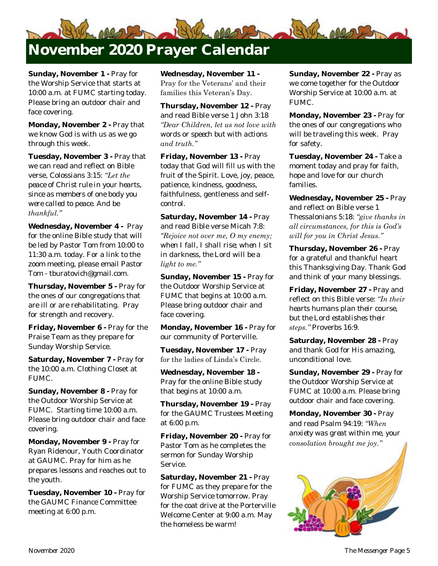

**Sunday, November 1 -** Pray for the Worship Service that starts at 10:00 a.m. at FUMC starting today. Please bring an outdoor chair and face covering.

**Monday, November 2 -** Pray that we know God is with us as we go through this week.

**Tuesday, November 3 -** Pray that we can read and reflect on Bible verse, Colossians 3:15: *"Let the peace of Christ rule in your hearts, since as members of one body you were called to peace. And be thankful."*

**Wednesday, November 4 -** Pray for the online Bible study that will be led by Pastor Tom from 10:00 to 11:30 a.m. today. For a link to the zoom meeting, please email Pastor Tom - tburatovich@gmail.com.

**Thursday, November 5 -** Pray for the ones of our congregations that are ill or are rehabilitating. Pray for strength and recovery.

**Friday, November 6 -** Pray for the Praise Team as they prepare for Sunday Worship Service.

**Saturday, November 7 -** Pray for the 10:00 a.m. Clothing Closet at FUMC.

**Sunday, November 8 -** Pray for the Outdoor Worship Service at FUMC. Starting time 10:00 a.m. Please bring outdoor chair and face covering.

**Monday, November 9 -** Pray for Ryan Ridenour, Youth Coordinator at GAUMC. Pray for him as he prepares lessons and reaches out to the youth.

**Tuesday, November 10 -** Pray for the GAUMC Finance Committee meeting at 6:00 p.m.

**Wednesday, November 11 -** Pray for the Veterans' and their families this Veteran's Day.

**Thursday, November 12 -** Pray and read Bible verse 1 John 3:18 *"Dear Children, let us not love with words or speech but with actions and truth."*

**Friday, November 13 -** Pray today that God will fill us with the fruit of the Spirit. Love, joy, peace, patience, kindness, goodness, faithfulness, gentleness and selfcontrol.

**Saturday, November 14 -** Pray and read Bible verse Micah 7:8: *"Rejoice not over me, O my enemy; when I fall, I shall rise; when I sit in darkness, the Lord will be a light to me."*

**Sunday, November 15 -** Pray for the Outdoor Worship Service at FUMC that begins at 10:00 a.m. Please bring outdoor chair and face covering.

**Monday, November 16 -** Pray for our community of Porterville.

**Tuesday, November 17 -** Pray for the ladies of Linda's Circle.

**Wednesday, November 18 -** Pray for the online Bible study that begins at 10:00 a.m.

**Thursday, November 19 -** Pray for the GAUMC Trustees Meeting at 6:00 p.m.

**Friday, November 20 -** Pray for Pastor Tom as he completes the sermon for Sunday Worship Service.

**Saturday, November 21 -** Pray for FUMC as they prepare for the Worship Service tomorrow. Pray for the coat drive at the Porterville Welcome Center at 9:00 a.m. May the homeless be warm!

**Sunday, November 22 -** Pray as we come together for the Outdoor Worship Service at 10:00 a.m. at FUMC.

**Monday, November 23 -** Pray for the ones of our congregations who will be traveling this week. Pray for safety.

**Tuesday, November 24 -** Take a moment today and pray for faith, hope and love for our church families.

**Wednesday, November 25 -** Pray and reflect on Bible verse 1 Thessalonians 5:18: *"give thanks in all circumstances, for this is God's will for you in Christ Jesus."*

**Thursday, November 26 -** Pray for a grateful and thankful heart this Thanksgiving Day. Thank God and think of your many blessings.

**Friday, November 27 -** Pray and reflect on this Bible verse: *"In their hearts humans plan their course, but the Lord establishes their steps."* Proverbs 16:9.

**Saturday, November 28 -** Pray and thank God for His amazing, unconditional love.

**Sunday, November 29 -** Pray for the Outdoor Worship Service at FUMC at 10:00 a.m. Please bring outdoor chair and face covering.

**Monday, November 30 -** Pray and read Psalm 94:19: *"When anxiety was great within me, your consolation brought me joy."*